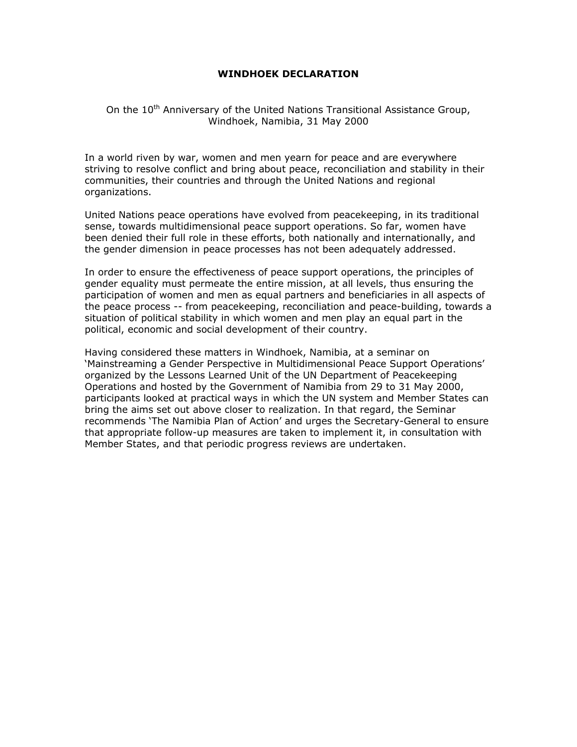#### **WINDHOEK DECLARATION**

### On the 10<sup>th</sup> Anniversary of the United Nations Transitional Assistance Group, Windhoek, Namibia, 31 May 2000

In a world riven by war, women and men yearn for peace and are everywhere striving to resolve conflict and bring about peace, reconciliation and stability in their communities, their countries and through the United Nations and regional organizations.

United Nations peace operations have evolved from peacekeeping, in its traditional sense, towards multidimensional peace support operations. So far, women have been denied their full role in these efforts, both nationally and internationally, and the gender dimension in peace processes has not been adequately addressed.

In order to ensure the effectiveness of peace support operations, the principles of gender equality must permeate the entire mission, at all levels, thus ensuring the participation of women and men as equal partners and beneficiaries in all aspects of the peace process -- from peacekeeping, reconciliation and peace-building, towards a situation of political stability in which women and men play an equal part in the political, economic and social development of their country.

Having considered these matters in Windhoek, Namibia, at a seminar on 'Mainstreaming a Gender Perspective in Multidimensional Peace Support Operations' organized by the Lessons Learned Unit of the UN Department of Peacekeeping Operations and hosted by the Government of Namibia from 29 to 31 May 2000, participants looked at practical ways in which the UN system and Member States can bring the aims set out above closer to realization. In that regard, the Seminar recommends 'The Namibia Plan of Action' and urges the Secretary-General to ensure that appropriate follow-up measures are taken to implement it, in consultation with Member States, and that periodic progress reviews are undertaken.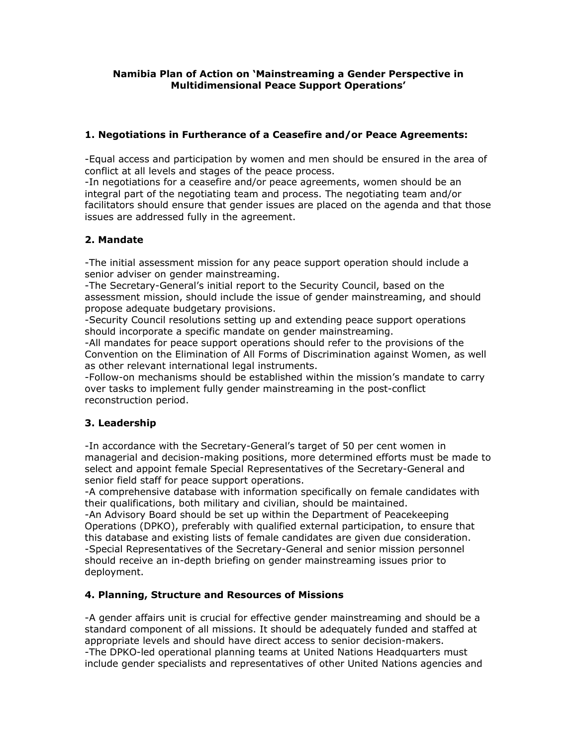## **Namibia Plan of Action on 'Mainstreaming a Gender Perspective in Multidimensional Peace Support Operations'**

# **1. Negotiations in Furtherance of a Ceasefire and/or Peace Agreements:**

-Equal access and participation by women and men should be ensured in the area of conflict at all levels and stages of the peace process.

-In negotiations for a ceasefire and/or peace agreements, women should be an integral part of the negotiating team and process. The negotiating team and/or facilitators should ensure that gender issues are placed on the agenda and that those issues are addressed fully in the agreement.

## **2. Mandate**

-The initial assessment mission for any peace support operation should include a senior adviser on gender mainstreaming.

-The Secretary-General's initial report to the Security Council, based on the assessment mission, should include the issue of gender mainstreaming, and should propose adequate budgetary provisions.

-Security Council resolutions setting up and extending peace support operations should incorporate a specific mandate on gender mainstreaming.

-All mandates for peace support operations should refer to the provisions of the Convention on the Elimination of All Forms of Discrimination against Women, as well as other relevant international legal instruments.

-Follow-on mechanisms should be established within the mission's mandate to carry over tasks to implement fully gender mainstreaming in the post-conflict reconstruction period.

# **3. Leadership**

-In accordance with the Secretary-General's target of 50 per cent women in managerial and decision-making positions, more determined efforts must be made to select and appoint female Special Representatives of the Secretary-General and senior field staff for peace support operations.

-A comprehensive database with information specifically on female candidates with their qualifications, both military and civilian, should be maintained.

-An Advisory Board should be set up within the Department of Peacekeeping Operations (DPKO), preferably with qualified external participation, to ensure that this database and existing lists of female candidates are given due consideration. -Special Representatives of the Secretary-General and senior mission personnel should receive an in-depth briefing on gender mainstreaming issues prior to deployment.

### **4. Planning, Structure and Resources of Missions**

-A gender affairs unit is crucial for effective gender mainstreaming and should be a standard component of all missions. It should be adequately funded and staffed at appropriate levels and should have direct access to senior decision-makers. -The DPKO-led operational planning teams at United Nations Headquarters must include gender specialists and representatives of other United Nations agencies and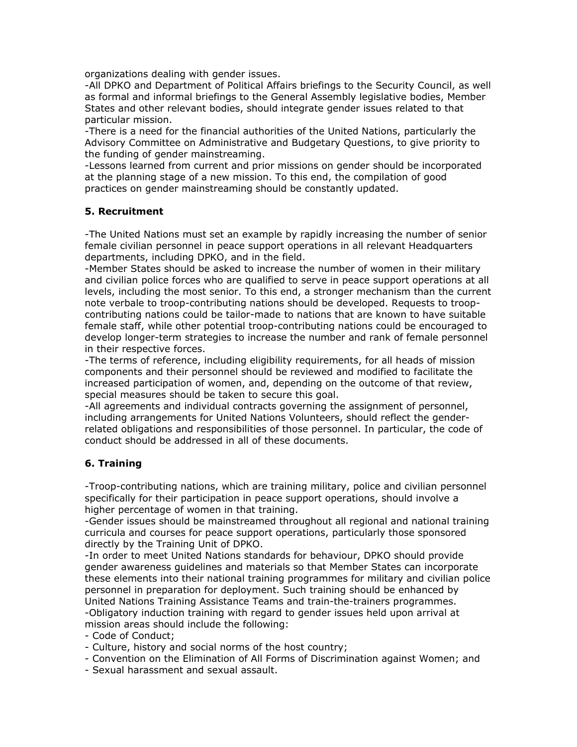organizations dealing with gender issues.

-All DPKO and Department of Political Affairs briefings to the Security Council, as well as formal and informal briefings to the General Assembly legislative bodies, Member States and other relevant bodies, should integrate gender issues related to that particular mission.

-There is a need for the financial authorities of the United Nations, particularly the Advisory Committee on Administrative and Budgetary Questions, to give priority to the funding of gender mainstreaming.

-Lessons learned from current and prior missions on gender should be incorporated at the planning stage of a new mission. To this end, the compilation of good practices on gender mainstreaming should be constantly updated.

## **5. Recruitment**

-The United Nations must set an example by rapidly increasing the number of senior female civilian personnel in peace support operations in all relevant Headquarters departments, including DPKO, and in the field.

-Member States should be asked to increase the number of women in their military and civilian police forces who are qualified to serve in peace support operations at all levels, including the most senior. To this end, a stronger mechanism than the current note verbale to troop-contributing nations should be developed. Requests to troopcontributing nations could be tailor-made to nations that are known to have suitable female staff, while other potential troop-contributing nations could be encouraged to develop longer-term strategies to increase the number and rank of female personnel in their respective forces.

-The terms of reference, including eligibility requirements, for all heads of mission components and their personnel should be reviewed and modified to facilitate the increased participation of women, and, depending on the outcome of that review, special measures should be taken to secure this goal.

-All agreements and individual contracts governing the assignment of personnel, including arrangements for United Nations Volunteers, should reflect the genderrelated obligations and responsibilities of those personnel. In particular, the code of conduct should be addressed in all of these documents.

# **6. Training**

-Troop-contributing nations, which are training military, police and civilian personnel specifically for their participation in peace support operations, should involve a higher percentage of women in that training.

-Gender issues should be mainstreamed throughout all regional and national training curricula and courses for peace support operations, particularly those sponsored directly by the Training Unit of DPKO.

-In order to meet United Nations standards for behaviour, DPKO should provide gender awareness guidelines and materials so that Member States can incorporate these elements into their national training programmes for military and civilian police personnel in preparation for deployment. Such training should be enhanced by United Nations Training Assistance Teams and train-the-trainers programmes. -Obligatory induction training with regard to gender issues held upon arrival at mission areas should include the following:

- Code of Conduct;

- Culture, history and social norms of the host country;

- Convention on the Elimination of All Forms of Discrimination against Women; and

- Sexual harassment and sexual assault.